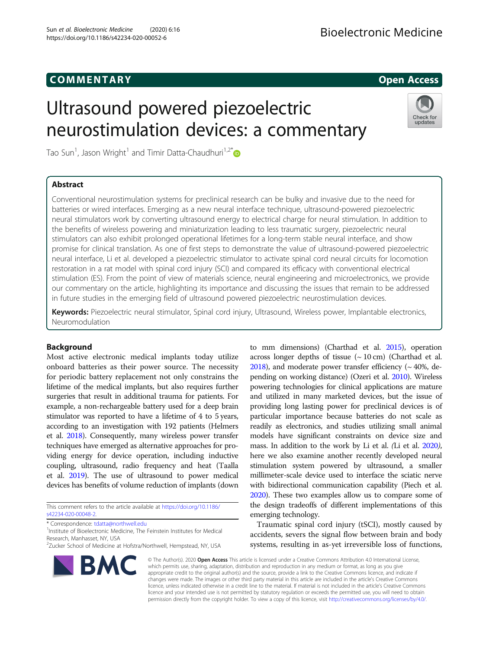# Ultrasound powered piezoelectric neurostimulation devices: a commentary

Tao Sun<sup>1</sup>, Jason Wright<sup>1</sup> and Timir Datta-Chaudhuri<sup>1,2[\\*](http://orcid.org/0000-0001-7377-1939)</sup>

# Abstract



Conventional neurostimulation systems for preclinical research can be bulky and invasive due to the need for batteries or wired interfaces. Emerging as a new neural interface technique, ultrasound-powered piezoelectric neural stimulators work by converting ultrasound energy to electrical charge for neural stimulation. In addition to the benefits of wireless powering and miniaturization leading to less traumatic surgery, piezoelectric neural stimulators can also exhibit prolonged operational lifetimes for a long-term stable neural interface, and show promise for clinical translation. As one of first steps to demonstrate the value of ultrasound-powered piezoelectric neural interface, Li et al. developed a piezoelectric stimulator to activate spinal cord neural circuits for locomotion restoration in a rat model with spinal cord injury (SCI) and compared its efficacy with conventional electrical stimulation (ES). From the point of view of materials science, neural engineering and microelectronics, we provide our commentary on the article, highlighting its importance and discussing the issues that remain to be addressed in future studies in the emerging field of ultrasound powered piezoelectric neurostimulation devices.

Keywords: Piezoelectric neural stimulator, Spinal cord injury, Ultrasound, Wireless power, Implantable electronics, Neuromodulation

## Background

Most active electronic medical implants today utilize onboard batteries as their power source. The necessity for periodic battery replacement not only constrains the lifetime of the medical implants, but also requires further surgeries that result in additional trauma for patients. For example, a non-rechargeable battery used for a deep brain stimulator was reported to have a lifetime of 4 to 5 years, according to an investigation with 192 patients (Helmers et al. [2018](#page-4-0)). Consequently, many wireless power transfer techniques have emerged as alternative approaches for providing energy for device operation, including inductive coupling, ultrasound, radio frequency and heat (Taalla et al. [2019](#page-4-0)). The use of ultrasound to power medical devices has benefits of volume reduction of implants (down

This comment refers to the article available at [https://doi.org/10.1186/](https://doi.org/10.1186/s42234-020-00048-2) [s42234-020-00048-2](https://doi.org/10.1186/s42234-020-00048-2).

\* Correspondence: [tdatta@northwell.edu](mailto:tdatta@northwell.edu) <sup>1</sup>

<sup>1</sup> Institute of Bioelectronic Medicine, The Feinstein Institutes for Medical Research, Manhasset, NY, USA

across longer depths of tissue  $($   $\sim$  10 cm) (Charthad et al. [2018\)](#page-4-0), and moderate power transfer efficiency  $($   $\sim$  40%, depending on working distance) (Ozeri et al. [2010](#page-4-0)). Wireless powering technologies for clinical applications are mature and utilized in many marketed devices, but the issue of providing long lasting power for preclinical devices is of particular importance because batteries do not scale as readily as electronics, and studies utilizing small animal models have significant constraints on device size and mass. In addition to the work by Li et al. (Li et al. [2020](#page-4-0)), here we also examine another recently developed neural stimulation system powered by ultrasound, a smaller millimeter-scale device used to interface the sciatic nerve with bidirectional communication capability (Piech et al. [2020\)](#page-4-0). These two examples allow us to compare some of the design tradeoffs of different implementations of this emerging technology.

to mm dimensions) (Charthad et al. [2015](#page-4-0)), operation

Traumatic spinal cord injury (tSCI), mostly caused by accidents, severs the signal flow between brain and body systems, resulting in as-yet irreversible loss of functions,



© The Author(s). 2020 Open Access This article is licensed under a Creative Commons Attribution 4.0 International License, which permits use, sharing, adaptation, distribution and reproduction in any medium or format, as long as you give appropriate credit to the original author(s) and the source, provide a link to the Creative Commons licence, and indicate if changes were made. The images or other third party material in this article are included in the article's Creative Commons licence, unless indicated otherwise in a credit line to the material. If material is not included in the article's Creative Commons licence and your intended use is not permitted by statutory regulation or exceeds the permitted use, you will need to obtain permission directly from the copyright holder. To view a copy of this licence, visit [http://creativecommons.org/licenses/by/4.0/.](http://creativecommons.org/licenses/by/4.0/)

<sup>&</sup>lt;sup>2</sup>Zucker School of Medicine at Hofstra/Northwell, Hempstead, NY, USA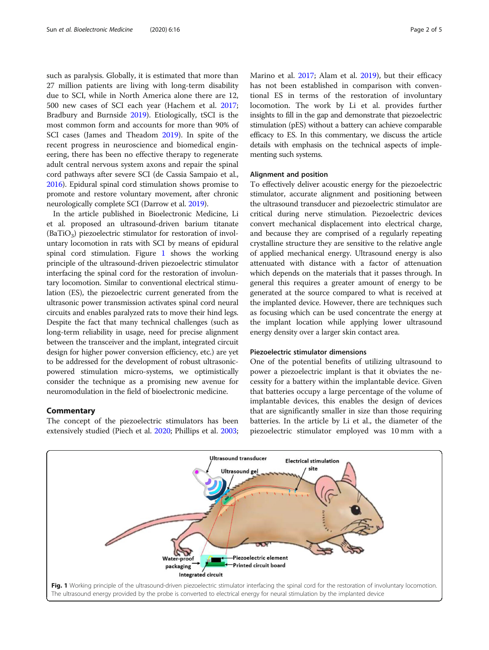such as paralysis. Globally, it is estimated that more than 27 million patients are living with long-term disability due to SCI, while in North America alone there are 12, 500 new cases of SCI each year (Hachem et al. [2017](#page-4-0); Bradbury and Burnside [2019](#page-4-0)). Etiologically, tSCI is the most common form and accounts for more than 90% of SCI cases (James and Theadom [2019](#page-4-0)). In spite of the recent progress in neuroscience and biomedical engineering, there has been no effective therapy to regenerate adult central nervous system axons and repair the spinal cord pathways after severe SCI (de Cassia Sampaio et al., [2016\)](#page-4-0). Epidural spinal cord stimulation shows promise to promote and restore voluntary movement, after chronic neurologically complete SCI (Darrow et al. [2019\)](#page-4-0).

In the article published in Bioelectronic Medicine, Li et al. proposed an ultrasound-driven barium titanate  $(BaTiO<sub>3</sub>)$  piezoelectric stimulator for restoration of involuntary locomotion in rats with SCI by means of epidural spinal cord stimulation. Figure 1 shows the working principle of the ultrasound-driven piezoelectric stimulator interfacing the spinal cord for the restoration of involuntary locomotion. Similar to conventional electrical stimulation (ES), the piezoelectric current generated from the ultrasonic power transmission activates spinal cord neural circuits and enables paralyzed rats to move their hind legs. Despite the fact that many technical challenges (such as long-term reliability in usage, need for precise alignment between the transceiver and the implant, integrated circuit design for higher power conversion efficiency, etc.) are yet to be addressed for the development of robust ultrasonicpowered stimulation micro-systems, we optimistically consider the technique as a promising new avenue for neuromodulation in the field of bioelectronic medicine.

#### **Commentary**

The concept of the piezoelectric stimulators has been extensively studied (Piech et al. [2020;](#page-4-0) Phillips et al. [2003](#page-4-0);

Marino et al. [2017;](#page-4-0) Alam et al. [2019\)](#page-3-0), but their efficacy has not been established in comparison with conventional ES in terms of the restoration of involuntary locomotion. The work by Li et al. provides further insights to fill in the gap and demonstrate that piezoelectric stimulation (pES) without a battery can achieve comparable efficacy to ES. In this commentary, we discuss the article details with emphasis on the technical aspects of implementing such systems.

## Alignment and position

To effectively deliver acoustic energy for the piezoelectric stimulator, accurate alignment and positioning between the ultrasound transducer and piezoelectric stimulator are critical during nerve stimulation. Piezoelectric devices convert mechanical displacement into electrical charge, and because they are comprised of a regularly repeating crystalline structure they are sensitive to the relative angle of applied mechanical energy. Ultrasound energy is also attenuated with distance with a factor of attenuation which depends on the materials that it passes through. In general this requires a greater amount of energy to be generated at the source compared to what is received at the implanted device. However, there are techniques such as focusing which can be used concentrate the energy at the implant location while applying lower ultrasound energy density over a larger skin contact area.

## Piezoelectric stimulator dimensions

One of the potential benefits of utilizing ultrasound to power a piezoelectric implant is that it obviates the necessity for a battery within the implantable device. Given that batteries occupy a large percentage of the volume of implantable devices, this enables the design of devices that are significantly smaller in size than those requiring batteries. In the article by Li et al., the diameter of the piezoelectric stimulator employed was 10 mm with a

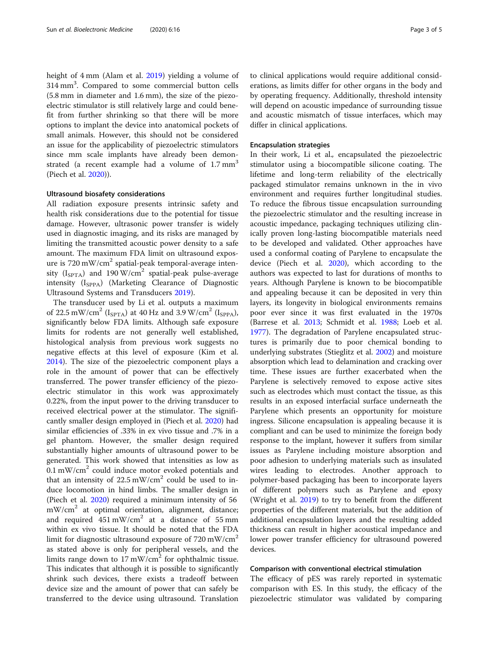height of 4 mm (Alam et al. [2019\)](#page-3-0) yielding a volume of 314 mm<sup>3</sup> . Compared to some commercial button cells (5.8 mm in diameter and 1.6 mm), the size of the piezoelectric stimulator is still relatively large and could benefit from further shrinking so that there will be more options to implant the device into anatomical pockets of small animals. However, this should not be considered an issue for the applicability of piezoelectric stimulators since mm scale implants have already been demonstrated (a recent example had a volume of  $1.7 \text{ mm}^3$ (Piech et al. [2020](#page-4-0))).

#### Ultrasound biosafety considerations

All radiation exposure presents intrinsic safety and health risk considerations due to the potential for tissue damage. However, ultrasonic power transfer is widely used in diagnostic imaging, and its risks are managed by limiting the transmitted acoustic power density to a safe amount. The maximum FDA limit on ultrasound exposure is 720 mW/cm<sup>2</sup> spatial-peak temporal-average intensity ( $I_{\text{SPTA}}$ ) and 190 W/cm<sup>2</sup> spatial-peak pulse-average intensity  $(I_{\text{SPPA}})$  (Marketing Clearance of Diagnostic Ultrasound Systems and Transducers [2019](#page-4-0)).

The transducer used by Li et al. outputs a maximum of 22.5 mW/cm<sup>2</sup> (I<sub>SPTA</sub>) at 40 Hz and 3.9 W/cm<sup>2</sup> (I<sub>SPPA</sub>), significantly below FDA limits. Although safe exposure limits for rodents are not generally well established, histological analysis from previous work suggests no negative effects at this level of exposure (Kim et al. [2014](#page-4-0)). The size of the piezoelectric component plays a role in the amount of power that can be effectively transferred. The power transfer efficiency of the piezoelectric stimulator in this work was approximately 0.22%, from the input power to the driving transducer to received electrical power at the stimulator. The significantly smaller design employed in (Piech et al. [2020](#page-4-0)) had similar efficiencies of .33% in ex vivo tissue and .7% in a gel phantom. However, the smaller design required substantially higher amounts of ultrasound power to be generated. This work showed that intensities as low as  $0.1 \text{ mW/cm}^2$  could induce motor evoked potentials and that an intensity of  $22.5 \text{ mW/cm}^2$  could be used to induce locomotion in hind limbs. The smaller design in (Piech et al. [2020](#page-4-0)) required a minimum intensity of 56  $mW/cm<sup>2</sup>$  at optimal orientation, alignment, distance; and required  $451 \text{ mW/cm}^2$  at a distance of  $55 \text{ mm}$ within ex vivo tissue. It should be noted that the FDA limit for diagnostic ultrasound exposure of  $720 \text{ mW/cm}^2$ as stated above is only for peripheral vessels, and the limits range down to  $17 \text{ mW/cm}^2$  for ophthalmic tissue. This indicates that although it is possible to significantly shrink such devices, there exists a tradeoff between device size and the amount of power that can safely be transferred to the device using ultrasound. Translation

to clinical applications would require additional considerations, as limits differ for other organs in the body and by operating frequency. Additionally, threshold intensity will depend on acoustic impedance of surrounding tissue and acoustic mismatch of tissue interfaces, which may differ in clinical applications.

## Encapsulation strategies

In their work, Li et al., encapsulated the piezoelectric stimulator using a biocompatible silicone coating. The lifetime and long-term reliability of the electrically packaged stimulator remains unknown in the in vivo environment and requires further longitudinal studies. To reduce the fibrous tissue encapsulation surrounding the piezoelectric stimulator and the resulting increase in acoustic impedance, packaging techniques utilizing clinically proven long-lasting biocompatible materials need to be developed and validated. Other approaches have used a conformal coating of Parylene to encapsulate the device (Piech et al. [2020\)](#page-4-0), which according to the authors was expected to last for durations of months to years. Although Parylene is known to be biocompatible and appealing because it can be deposited in very thin layers, its longevity in biological environments remains poor ever since it was first evaluated in the 1970s (Barrese et al. [2013](#page-3-0); Schmidt et al. [1988;](#page-4-0) Loeb et al. [1977](#page-4-0)). The degradation of Parylene encapsulated structures is primarily due to poor chemical bonding to underlying substrates (Stieglitz et al. [2002\)](#page-4-0) and moisture absorption which lead to delamination and cracking over time. These issues are further exacerbated when the Parylene is selectively removed to expose active sites such as electrodes which must contact the tissue, as this results in an exposed interfacial surface underneath the Parylene which presents an opportunity for moisture ingress. Silicone encapsulation is appealing because it is compliant and can be used to minimize the foreign body response to the implant, however it suffers from similar issues as Parylene including moisture absorption and poor adhesion to underlying materials such as insulated wires leading to electrodes. Another approach to polymer-based packaging has been to incorporate layers of different polymers such as Parylene and epoxy (Wright et al. [2019](#page-4-0)) to try to benefit from the different properties of the different materials, but the addition of additional encapsulation layers and the resulting added thickness can result in higher acoustical impedance and lower power transfer efficiency for ultrasound powered devices.

#### Comparison with conventional electrical stimulation

The efficacy of pES was rarely reported in systematic comparison with ES. In this study, the efficacy of the piezoelectric stimulator was validated by comparing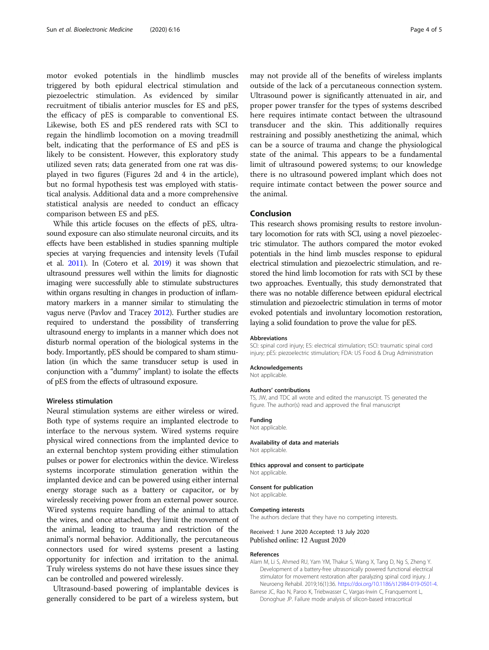<span id="page-3-0"></span>motor evoked potentials in the hindlimb muscles triggered by both epidural electrical stimulation and piezoelectric stimulation. As evidenced by similar recruitment of tibialis anterior muscles for ES and pES, the efficacy of pES is comparable to conventional ES. Likewise, both ES and pES rendered rats with SCI to regain the hindlimb locomotion on a moving treadmill belt, indicating that the performance of ES and pES is likely to be consistent. However, this exploratory study utilized seven rats; data generated from one rat was displayed in two figures (Figures 2d and 4 in the article), but no formal hypothesis test was employed with statistical analysis. Additional data and a more comprehensive statistical analysis are needed to conduct an efficacy comparison between ES and pES.

While this article focuses on the effects of pES, ultrasound exposure can also stimulate neuronal circuits, and its effects have been established in studies spanning multiple species at varying frequencies and intensity levels (Tufail et al. [2011\)](#page-4-0). In (Cotero et al. [2019\)](#page-4-0) it was shown that ultrasound pressures well within the limits for diagnostic imaging were successfully able to stimulate substructures within organs resulting in changes in production of inflammatory markers in a manner similar to stimulating the vagus nerve (Pavlov and Tracey [2012](#page-4-0)). Further studies are required to understand the possibility of transferring ultrasound energy to implants in a manner which does not disturb normal operation of the biological systems in the body. Importantly, pES should be compared to sham stimulation (in which the same transducer setup is used in conjunction with a "dummy" implant) to isolate the effects of pES from the effects of ultrasound exposure.

#### Wireless stimulation

Neural stimulation systems are either wireless or wired. Both type of systems require an implanted electrode to interface to the nervous system. Wired systems require physical wired connections from the implanted device to an external benchtop system providing either stimulation pulses or power for electronics within the device. Wireless systems incorporate stimulation generation within the implanted device and can be powered using either internal energy storage such as a battery or capacitor, or by wirelessly receiving power from an external power source. Wired systems require handling of the animal to attach the wires, and once attached, they limit the movement of the animal, leading to trauma and restriction of the animal's normal behavior. Additionally, the percutaneous connectors used for wired systems present a lasting opportunity for infection and irritation to the animal. Truly wireless systems do not have these issues since they can be controlled and powered wirelessly.

Ultrasound-based powering of implantable devices is generally considered to be part of a wireless system, but

may not provide all of the benefits of wireless implants outside of the lack of a percutaneous connection system. Ultrasound power is significantly attenuated in air, and proper power transfer for the types of systems described here requires intimate contact between the ultrasound transducer and the skin. This additionally requires restraining and possibly anesthetizing the animal, which can be a source of trauma and change the physiological state of the animal. This appears to be a fundamental limit of ultrasound powered systems; to our knowledge there is no ultrasound powered implant which does not require intimate contact between the power source and the animal.

## Conclusion

This research shows promising results to restore involuntary locomotion for rats with SCI, using a novel piezoelectric stimulator. The authors compared the motor evoked potentials in the hind limb muscles response to epidural electrical stimulation and piezoelectric stimulation, and restored the hind limb locomotion for rats with SCI by these two approaches. Eventually, this study demonstrated that there was no notable difference between epidural electrical stimulation and piezoelectric stimulation in terms of motor evoked potentials and involuntary locomotion restoration, laying a solid foundation to prove the value for pES.

#### Abbreviations

SCI: spinal cord injury; ES: electrical stimulation; tSCI: traumatic spinal cord injury; pES: piezoelectric stimulation; FDA: US Food & Drug Administration

## Acknowledgements

Not applicable.

#### Authors' contributions

TS, JW, and TDC all wrote and edited the manuscript. TS generated the figure. The author(s) read and approved the final manuscript

#### Funding

Not applicable.

## Availability of data and materials

Not applicable.

## Ethics approval and consent to participate

Not applicable.

Consent for publication

# Not applicable.

## Competing interests

The authors declare that they have no competing interests.

#### Received: 1 June 2020 Accepted: 13 July 2020 Published online: 12 August 2020

#### References

- Alam M, Li S, Ahmed RU, Yam YM, Thakur S, Wang X, Tang D, Ng S, Zheng Y. Development of a battery-free ultrasonically powered functional electrical stimulator for movement restoration after paralyzing spinal cord injury. J Neuroeng Rehabil. 2019;16(1):36. <https://doi.org/10.1186/s12984-019-0501-4>.
- Barrese JC, Rao N, Paroo K, Triebwasser C, Vargas-Irwin C, Franquemont L, Donoghue JP. Failure mode analysis of silicon-based intracortical